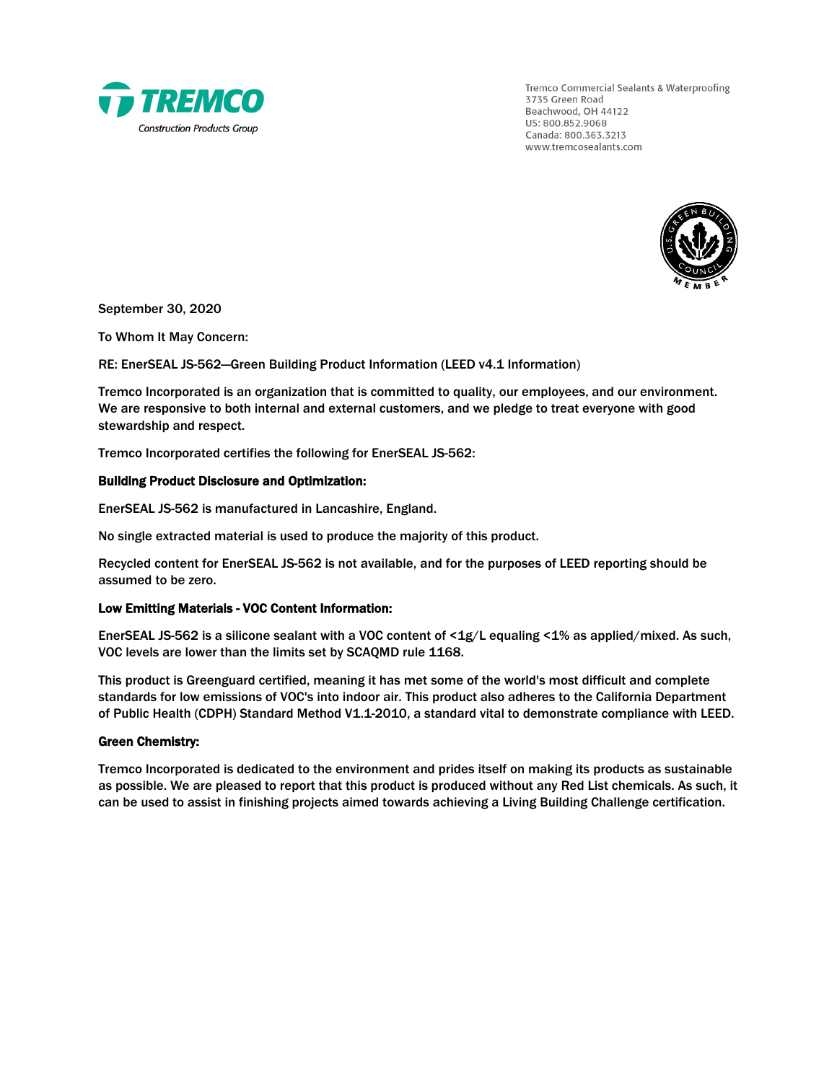

Tremco Commercial Sealants & Waterproofing 3735 Green Road Beachwood, OH 44122 US: 800.852.9068 Canada: 800.363.3213 www.tremcosealants.com



September 30, 2020

To Whom It May Concern:

RE: EnerSEAL JS-562—Green Building Product Information (LEED v4.1 Information)

Tremco Incorporated is an organization that is committed to quality, our employees, and our environment. We are responsive to both internal and external customers, and we pledge to treat everyone with good stewardship and respect.

Tremco Incorporated certifies the following for EnerSEAL JS-562:

### Building Product Disclosure and Optimization:

EnerSEAL JS-562 is manufactured in Lancashire, England.

No single extracted material is used to produce the majority of this product.

Recycled content for EnerSEAL JS-562 is not available, and for the purposes of LEED reporting should be assumed to be zero.

#### Low Emitting Materials - VOC Content Information:

EnerSEAL JS-562 is a silicone sealant with a VOC content of <1g/L equaling <1% as applied/mixed. As such, VOC levels are lower than the limits set by SCAQMD rule 1168.

This product is Greenguard certified, meaning it has met some of the world's most difficult and complete standards for low emissions of VOC's into indoor air. This product also adheres to the California Department of Public Health (CDPH) Standard Method V1.1-2010, a standard vital to demonstrate compliance with LEED.

#### Green Chemistry:

Tremco Incorporated is dedicated to the environment and prides itself on making its products as sustainable as possible. We are pleased to report that this product is produced without any Red List chemicals. As such, it can be used to assist in finishing projects aimed towards achieving a Living Building Challenge certification.